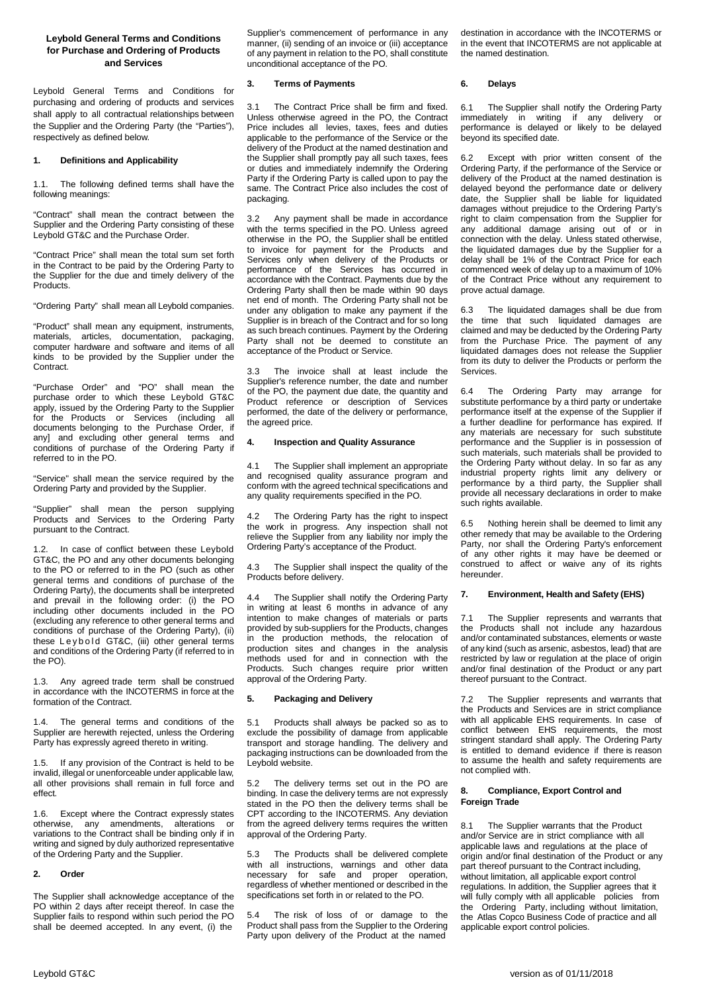# **Leybold General Terms and Conditions for Purchase and Ordering of Products and Services**

Leybold General Terms and Conditions for purchasing and ordering of products and services shall apply to all contractual relationships between the Supplier and the Ordering Party (the "Parties"), respectively as defined below.

# **1. Definitions and Applicability**

1.1. The following defined terms shall have the following meanings:

"Contract" shall mean the contract between the Supplier and the Ordering Party consisting of these Leybold GT&C and the Purchase Order.

"Contract Price" shall mean the total sum set forth in the Contract to be paid by the Ordering Party to the Supplier for the due and timely delivery of the Products.

"Ordering Party" shall mean all Leybold companies.

"Product" shall mean any equipment, instruments, materials, articles, documentation, packaging, computer hardware and software and items of all kinds to be provided by the Supplier under the Contract.

"Purchase Order" and "PO" shall mean the purchase order to which these Leybold GT&C apply, issued by the Ordering Party to the Supplier for the Products or Services (including all documents belonging to the Purchase Order, if any] and excluding other general terms and conditions of purchase of the Ordering Party if referred to in the PO.

"Service" shall mean the service required by the Ordering Party and provided by the Supplier.

"Supplier" shall mean the person supplying Products and Services to the Ordering Party pursuant to the Contract.

1.2. In case of conflict between these Leybold GT&C, the PO and any other documents belonging to the PO or referred to in the PO (such as other general terms and conditions of purchase of the Ordering Party), the documents shall be interpreted and prevail in the following order: (i) the PO including other documents included in the PO (excluding any reference to other general terms and conditions of purchase of the Ordering Party), (ii) these Leybold GT&C, (iii) other general terms and conditions of the Ordering Party (if referred to in the PO).

1.3. Any agreed trade term shall be construed in accordance with the INCOTERMS in force at the formation of the Contract.

1.4. The general terms and conditions of the Supplier are herewith rejected, unless the Ordering Party has expressly agreed thereto in writing.

1.5. If any provision of the Contract is held to be invalid, illegal or unenforceable under applicable law, all other provisions shall remain in full force and effect.

1.6. Except where the Contract expressly states otherwise, any amendments, alterations or variations to the Contract shall be binding only if in writing and signed by duly authorized representative of the Ordering Party and the Supplier.

### **2. Order**

The Supplier shall acknowledge acceptance of the PO within 2 days after receipt thereof. In case the Supplier fails to respond within such period the PO shall be deemed accepted. In any event, (i) the

Supplier's commencement of performance in any manner, (ii) sending of an invoice or (iii) acceptance of any payment in relation to the PO, shall constitute unconditional acceptance of the PO.

# **3. Terms of Payments**

3.1 The Contract Price shall be firm and fixed. Unless otherwise agreed in the PO, the Contract Price includes all levies, taxes, fees and duties applicable to the performance of the Service or the delivery of the Product at the named destination and the Supplier shall promptly pay all such taxes, fees or duties and immediately indemnify the Ordering Party if the Ordering Party is called upon to pay the same. The Contract Price also includes the cost of packaging.

3.2 Any payment shall be made in accordance with the terms specified in the PO. Unless agreed otherwise in the PO, the Supplier shall be entitled to invoice for payment for the Products and Services only when delivery of the Products or performance of the Services has occurred in accordance with the Contract. Payments due by the Ordering Party shall then be made within 90 days net end of month. The Ordering Party shall not be under any obligation to make any payment if the Supplier is in breach of the Contract and for so long as such breach continues. Payment by the Ordering Party shall not be deemed to constitute an acceptance of the Product or Service.

3.3 The invoice shall at least include the Supplier's reference number, the date and number of the PO, the payment due date, the quantity and Product reference or description of Services performed, the date of the delivery or performance, the agreed price.

### **4. Inspection and Quality Assurance**

4.1 The Supplier shall implement an appropriate and recognised quality assurance program and conform with the agreed technical specifications and any quality requirements specified in the PO.

4.2 The Ordering Party has the right to inspect the work in progress. Any inspection shall not relieve the Supplier from any liability nor imply the Ordering Party's acceptance of the Product.

4.3 The Supplier shall inspect the quality of the Products before delivery.

4.4 The Supplier shall notify the Ordering Party in writing at least 6 months in advance of any intention to make changes of materials or parts provided by sub-suppliers for the Products, changes in the production methods, the relocation of production sites and changes in the analysis methods used for and in connection with the Products. Such changes require prior written approval of the Ordering Party.

## **5. Packaging and Delivery**

5.1 Products shall always be packed so as to exclude the possibility of damage from applicable transport and storage handling. The delivery and packaging instructions can be downloaded from the Leybold website.

5.2 The delivery terms set out in the PO are binding. In case the delivery terms are not expressly stated in the PO then the delivery terms shall be CPT according to the INCOTERMS. Any deviation from the agreed delivery terms requires the written approval of the Ordering Party.

5.3 The Products shall be delivered complete with all instructions, warnings and other data necessary for safe and proper operation, regardless of whether mentioned or described in the specifications set forth in or related to the PO.

5.4 The risk of loss of or damage to the Product shall pass from the Supplier to the Ordering Party upon delivery of the Product at the named

destination in accordance with the INCOTERMS or in the event that INCOTERMS are not applicable at the named destination.

### **6. Delays**

6.1 The Supplier shall notify the Ordering Party immediately in writing if any delivery or performance is delayed or likely to be delayed beyond its specified date.

Except with prior written consent of the Ordering Party, if the performance of the Service or delivery of the Product at the named destination is delayed beyond the performance date or delivery date, the Supplier shall be liable for liquidated damages without prejudice to the Ordering Party's right to claim compensation from the Supplier for any additional damage arising out of or in connection with the delay. Unless stated otherwise, the liquidated damages due by the Supplier for a delay shall be 1% of the Contract Price for each commenced week of delay up to a maximum of 10% of the Contract Price without any requirement to prove actual damage.

The liquidated damages shall be due from the time that such liquidated damages are claimed and may be deducted by the Ordering Party from the Purchase Price. The payment of any liquidated damages does not release the Supplier from its duty to deliver the Products or perform the **Services** 

6.4 The Ordering Party may arrange for substitute performance by a third party or undertake performance itself at the expense of the Supplier if a further deadline for performance has expired. If any materials are necessary for such substitute performance and the Supplier is in possession of such materials, such materials shall be provided to the Ordering Party without delay. In so far as any industrial property rights limit any delivery or performance by a third party, the Supplier shall provide all necessary declarations in order to make .<br>such rights available.

6.5 Nothing herein shall be deemed to limit any other remedy that may be available to the Ordering Party, nor shall the Ordering Party's enforcement of any other rights it may have be deemed or construed to affect or waive any of its rights hereunder.

## **7. Environment, Health and Safety (EHS)**

7.1 The Supplier represents and warrants that the Products shall not include any hazardous and/or contaminated substances, elements or waste of any kind (such as arsenic, asbestos, lead) that are restricted by law or regulation at the place of origin and/or final destination of the Product or any part thereof pursuant to the Contract.

7.2 The Supplier represents and warrants that the Products and Services are in strict compliance with all applicable EHS requirements. In case of conflict between EHS requirements, the most stringent standard shall apply. The Ordering Party is entitled to demand evidence if there is reason to assume the health and safety requirements are not complied with.

## **8. Compliance, Export Control and Foreign Trade**

8.1 The Supplier warrants that the Product and/or Service are in strict compliance with all applicable laws and regulations at the place of origin and/or final destination of the Product or any part thereof pursuant to the Contract including, without limitation, all applicable export control regulations. In addition, the Supplier agrees that it will fully comply with all applicable policies from the Ordering Party, including without limitation, the Atlas Copco Business Code of practice and all applicable export control policies.